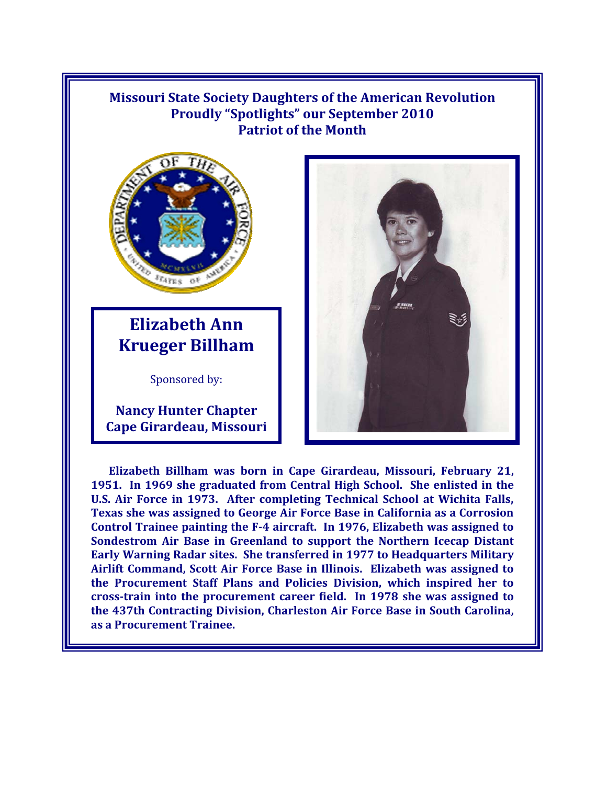## **Missouri State Society Daughters of the American Revolution Proudly "Spotlights" our September 2010 Patriot of the Month**



## **Elizabeth Ann Krueger Billham**

Sponsored by:

**Nancy Hunter Chapter Cape Girardeau, Missouri** 



**Elizabeth Billham was born in Cape Girardeau, Missouri, February 21, 1951. In 1969 she graduated from Central High School. She enlisted in the U.S. Air Force in 1973. After completing Technical School at Wichita Falls, Texas she was assigned to George Air Force Base in California as a Corrosion Control Trainee painting the F-4 aircraft. In 1976, Elizabeth was assigned to Sondestrom Air Base in Greenland to support the Northern Icecap Distant Early Warning Radar sites. She transferred in 1977 to Headquarters Military Airlift Command, Scott Air Force Base in Illinois. Elizabeth was assigned to the Procurement Staff Plans and Policies Division, which inspired her to cross-train into the procurement career field. In 1978 she was assigned to the 437th Contracting Division, Charleston Air Force Base in South Carolina, as a Procurement Trainee.**